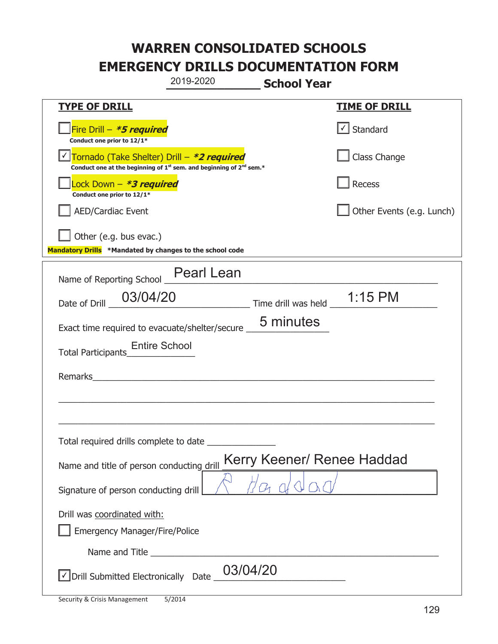|                                                                                    | 2019-2020                                                                                   | <b>School Year</b>               |                                   |
|------------------------------------------------------------------------------------|---------------------------------------------------------------------------------------------|----------------------------------|-----------------------------------|
| <b>TYPE OF DRILL</b>                                                               |                                                                                             |                                  | <u>TIME OF DRILL</u>              |
| Fire Drill - *5 required<br>Conduct one prior to 12/1*                             |                                                                                             |                                  | $\lfloor \angle \rfloor$ Standard |
| Tornado (Take Shelter) Drill – *2 required                                         | Conduct one at the beginning of 1 <sup>st</sup> sem. and beginning of 2 <sup>nd</sup> sem.* |                                  | Class Change                      |
| Lock Down - <b>*3 required</b><br>Conduct one prior to 12/1*                       |                                                                                             |                                  | Recess                            |
| <b>AED/Cardiac Event</b>                                                           |                                                                                             |                                  | Other Events (e.g. Lunch)         |
| Other (e.g. bus evac.)<br>Mandatory Drills *Mandated by changes to the school code |                                                                                             |                                  |                                   |
| Name of Reporting School _                                                         | <b>Pearl Lean</b>                                                                           |                                  |                                   |
| 03/04/20<br>Date of Drill                                                          |                                                                                             | Time drill was held $\_$ 1:15 PM |                                   |
| Exact time required to evacuate/shelter/secure                                     |                                                                                             | 5 minutes                        |                                   |
| <b>Entire School</b><br><b>Total Participants</b>                                  |                                                                                             |                                  |                                   |
| Remarks                                                                            |                                                                                             |                                  |                                   |
|                                                                                    |                                                                                             |                                  |                                   |
| Total required drills complete to date                                             |                                                                                             |                                  |                                   |
| Name and title of person conducting drill                                          |                                                                                             | Kerry Keener/ Renee Haddad       |                                   |
| Signature of person conducting drill                                               |                                                                                             |                                  |                                   |
| Drill was coordinated with:<br><b>Emergency Manager/Fire/Police</b>                |                                                                                             |                                  |                                   |
|                                                                                    |                                                                                             |                                  |                                   |
| √ Drill Submitted Electronically Date                                              | 03/04/20                                                                                    |                                  |                                   |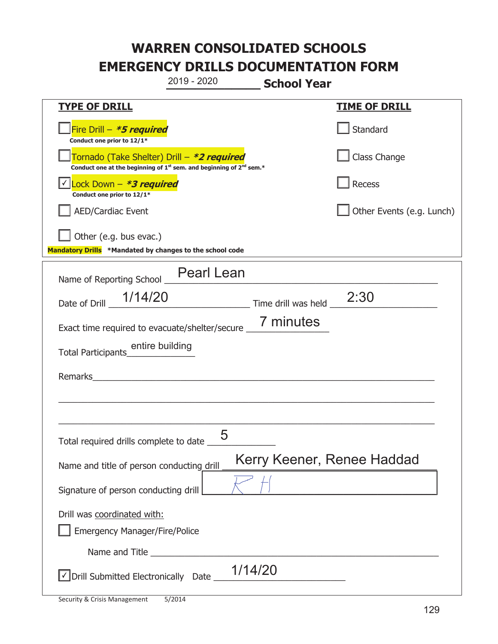|                                                                                                                                           | 2019 - 2020       | <b>School Year</b>  |                            |
|-------------------------------------------------------------------------------------------------------------------------------------------|-------------------|---------------------|----------------------------|
| <b>TYPE OF DRILL</b>                                                                                                                      |                   |                     | <b>TIME OF DRILL</b>       |
| Fire Drill - *5 required<br>Conduct one prior to 12/1*                                                                                    |                   |                     | Standard                   |
| Tornado (Take Shelter) Drill – *2 required<br>Conduct one at the beginning of 1 <sup>st</sup> sem. and beginning of 2 <sup>nd</sup> sem.* |                   |                     | Class Change               |
| Lock Down - *3 required<br>Conduct one prior to 12/1*                                                                                     |                   |                     | Recess                     |
| <b>AED/Cardiac Event</b>                                                                                                                  |                   |                     | Other Events (e.g. Lunch)  |
| Other (e.g. bus evac.)<br>Mandatory Drills *Mandated by changes to the school code                                                        |                   |                     |                            |
| Name of Reporting School _                                                                                                                | <b>Pearl Lean</b> |                     |                            |
| 1/14/20<br>Date of Drill                                                                                                                  |                   | Time drill was held | 2:30                       |
| Exact time required to evacuate/shelter/secure _                                                                                          |                   | 7 minutes           |                            |
| entire building<br><b>Total Participants</b>                                                                                              |                   |                     |                            |
| Remarks                                                                                                                                   |                   |                     |                            |
|                                                                                                                                           |                   |                     |                            |
|                                                                                                                                           |                   |                     |                            |
| Total required drills complete to date _                                                                                                  | 5                 |                     |                            |
| Name and title of person conducting drill                                                                                                 |                   |                     | Kerry Keener, Renee Haddad |
| Signature of person conducting drill                                                                                                      |                   |                     |                            |
| Drill was coordinated with:<br><b>Emergency Manager/Fire/Police</b>                                                                       |                   |                     |                            |
|                                                                                                                                           |                   |                     |                            |
| √ Drill Submitted Electronically Date _                                                                                                   |                   | 1/14/20             |                            |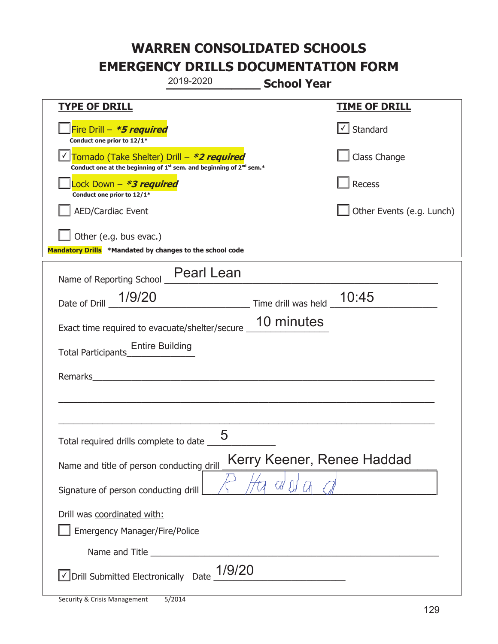|                                                                                                                                           | 2019-2020                            | <b>School Year</b>        |                                   |  |
|-------------------------------------------------------------------------------------------------------------------------------------------|--------------------------------------|---------------------------|-----------------------------------|--|
| <u>TYPE OF DRILL</u>                                                                                                                      |                                      |                           | <b>TIME OF DRILL</b>              |  |
| Fire Drill - *5 required<br>Conduct one prior to 12/1*                                                                                    |                                      |                           | $\lfloor \angle \rfloor$ Standard |  |
| Tornado (Take Shelter) Drill – *2 required<br>Conduct one at the beginning of 1 <sup>st</sup> sem. and beginning of 2 <sup>nd</sup> sem.* |                                      |                           | Class Change                      |  |
| Lock Down - *3 required<br>Conduct one prior to 12/1*                                                                                     |                                      |                           | Recess                            |  |
| <b>AED/Cardiac Event</b>                                                                                                                  |                                      |                           | Other Events (e.g. Lunch)         |  |
| Other (e.g. bus evac.)<br>Mandatory Drills *Mandated by changes to the school code                                                        |                                      |                           |                                   |  |
| Name of Reporting School _                                                                                                                | <b>Pearl Lean</b>                    |                           |                                   |  |
| Date of Drill 1/9/20                                                                                                                      |                                      | Time drill was held 10:45 |                                   |  |
| Exact time required to evacuate/shelter/secure _                                                                                          |                                      | 10 minutes                |                                   |  |
| <b>Entire Building</b><br>Total Participants                                                                                              |                                      |                           |                                   |  |
| Remarks                                                                                                                                   | <u> 1980 - Jan Barbara (j. 1980)</u> |                           |                                   |  |
|                                                                                                                                           |                                      |                           |                                   |  |
| Total required drills complete to date                                                                                                    | 5                                    |                           |                                   |  |
| Kerry Keener, Renee Haddad<br>Name and title of person conducting drill                                                                   |                                      |                           |                                   |  |
| Signature of person conducting drill                                                                                                      |                                      |                           |                                   |  |
| Drill was coordinated with:                                                                                                               |                                      |                           |                                   |  |
| <b>Emergency Manager/Fire/Police</b>                                                                                                      |                                      |                           |                                   |  |
|                                                                                                                                           |                                      |                           |                                   |  |
| √ Drill Submitted Electronically Date                                                                                                     | 1/9/20                               |                           |                                   |  |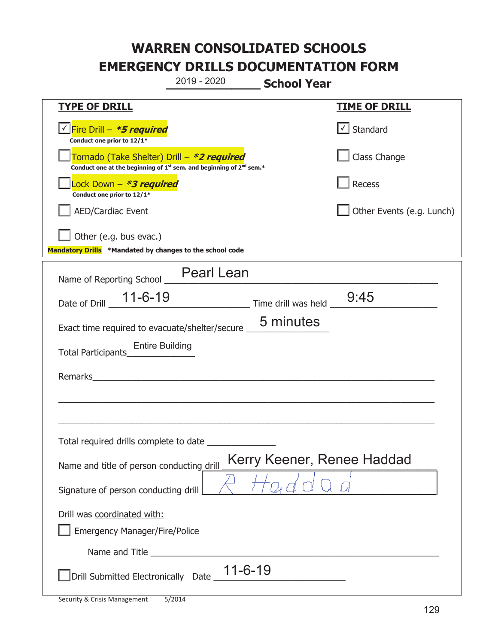|                                                                                                                                           | 2019 - 2020                                                        | <b>School Year</b>         |                           |  |
|-------------------------------------------------------------------------------------------------------------------------------------------|--------------------------------------------------------------------|----------------------------|---------------------------|--|
| <b>TYPE OF DRILL</b>                                                                                                                      |                                                                    |                            | <b>TIME OF DRILL</b>      |  |
| <u>V</u> Fire Drill – <b>*5 required</b><br>Conduct one prior to 12/1*                                                                    |                                                                    |                            | $\cup$ Standard           |  |
| Tornado (Take Shelter) Drill - *2 required<br>Conduct one at the beginning of 1 <sup>st</sup> sem. and beginning of 2 <sup>nd</sup> sem.* |                                                                    |                            | Class Change              |  |
| Lock Down - *3 required<br>Conduct one prior to 12/1*                                                                                     |                                                                    |                            | Recess                    |  |
| <b>AED/Cardiac Event</b>                                                                                                                  |                                                                    |                            | Other Events (e.g. Lunch) |  |
| Other (e.g. bus evac.)<br>Mandatory Drills *Mandated by changes to the school code                                                        |                                                                    |                            |                           |  |
| Name of Reporting School                                                                                                                  | <b>Pearl Lean</b>                                                  |                            |                           |  |
| Date of Drill                                                                                                                             |                                                                    |                            | 9:45                      |  |
| Exact time required to evacuate/shelter/secure                                                                                            |                                                                    | 5 minutes                  |                           |  |
| <b>Entire Building</b><br>Total Participants                                                                                              |                                                                    |                            |                           |  |
| Remarks                                                                                                                                   | <u> 1980 - Jan Samuel Barbara, margaret eta idazlea (h. 1980).</u> |                            |                           |  |
|                                                                                                                                           |                                                                    |                            |                           |  |
|                                                                                                                                           |                                                                    |                            |                           |  |
| Total required drills complete to date                                                                                                    |                                                                    |                            |                           |  |
| Name and title of person conducting drill                                                                                                 |                                                                    | Kerry Keener, Renee Haddad |                           |  |
| Signature of person conducting drill                                                                                                      |                                                                    |                            |                           |  |
| Drill was coordinated with:<br><b>Emergency Manager/Fire/Police</b>                                                                       |                                                                    |                            |                           |  |
|                                                                                                                                           |                                                                    |                            |                           |  |
| Drill Submitted Electronically Date 11-6-19                                                                                               |                                                                    |                            |                           |  |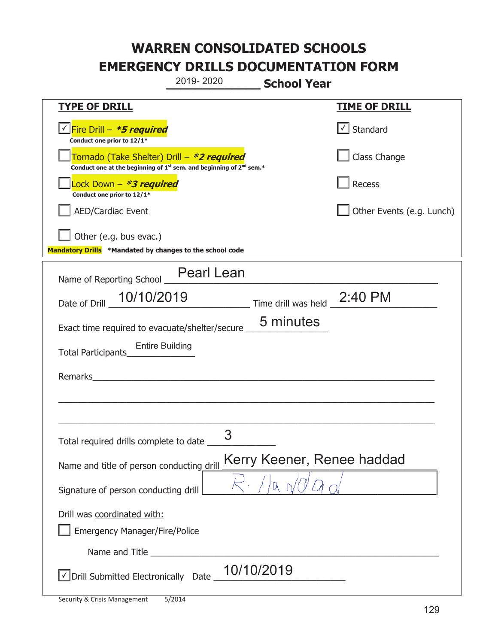|                                                                                                                                                  | 2019-2020                                              | <b>School Year</b>          |                                   |
|--------------------------------------------------------------------------------------------------------------------------------------------------|--------------------------------------------------------|-----------------------------|-----------------------------------|
| <b>TYPE OF DRILL</b>                                                                                                                             |                                                        |                             | <b>TIME OF DRILL</b>              |
| <u>√ Fire Drill – *5 required</u><br>Conduct one prior to 12/1*                                                                                  |                                                        |                             | $\lfloor \angle \rfloor$ Standard |
| Tornado (Take Shelter) Drill – <b>*2 required</b><br>Conduct one at the beginning of 1 <sup>st</sup> sem. and beginning of 2 <sup>nd</sup> sem.* |                                                        |                             | Class Change                      |
| Lock Down - *3 required<br>Conduct one prior to 12/1*                                                                                            |                                                        |                             | Recess                            |
| <b>AED/Cardiac Event</b>                                                                                                                         |                                                        |                             | Other Events (e.g. Lunch)         |
| Other (e.g. bus evac.)<br>Mandatory Drills *Mandated by changes to the school code                                                               |                                                        |                             |                                   |
| Name of Reporting School                                                                                                                         | <b>Pearl Lean</b>                                      |                             |                                   |
| 10/10/2019<br>Date of Drill                                                                                                                      |                                                        | Time drill was held 2:40 PM |                                   |
| Exact time required to evacuate/shelter/secure                                                                                                   |                                                        | 5 minutes                   |                                   |
| <b>Entire Building</b><br>Total Participants                                                                                                     |                                                        |                             |                                   |
| Remarks                                                                                                                                          | <u> 1980 - Jan Barnett, fransk politiker (d. 1980)</u> |                             |                                   |
|                                                                                                                                                  |                                                        |                             |                                   |
|                                                                                                                                                  |                                                        |                             |                                   |
| Total required drills complete to date                                                                                                           | 3                                                      |                             |                                   |
| Name and title of person conducting drill                                                                                                        |                                                        | Kerry Keener, Renee haddad  |                                   |
| Signature of person conducting drill                                                                                                             |                                                        |                             |                                   |
| Drill was coordinated with:<br><b>Emergency Manager/Fire/Police</b>                                                                              |                                                        |                             |                                   |
|                                                                                                                                                  |                                                        |                             |                                   |
| $\vee$ Drill Submitted Electronically Date $\_$ 10/10/2019                                                                                       |                                                        |                             |                                   |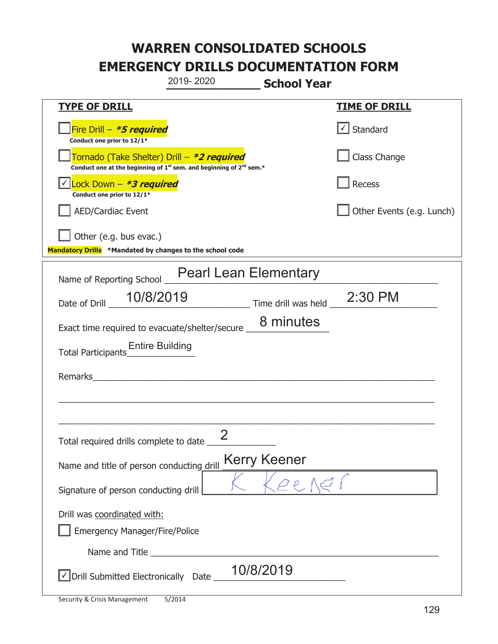|                                                                                    | 2019-2020                                                                                   | <b>School Year</b>  |                                   |
|------------------------------------------------------------------------------------|---------------------------------------------------------------------------------------------|---------------------|-----------------------------------|
| <u>TYPE OF DRILL</u>                                                               |                                                                                             |                     | <b>TIME OF DRILL</b>              |
| Fire Drill - *5 required<br>Conduct one prior to 12/1*                             |                                                                                             |                     | $\lfloor \angle \rfloor$ Standard |
| Tornado (Take Shelter) Drill – *2 required                                         | Conduct one at the beginning of 1 <sup>st</sup> sem. and beginning of 2 <sup>nd</sup> sem.* |                     | Class Change                      |
| Lock Down - *3 required<br>Conduct one prior to 12/1*                              |                                                                                             |                     | Recess                            |
| <b>AED/Cardiac Event</b>                                                           |                                                                                             |                     | Other Events (e.g. Lunch)         |
| Other (e.g. bus evac.)<br>Mandatory Drills *Mandated by changes to the school code |                                                                                             |                     |                                   |
|                                                                                    | <b>Pearl Lean Elementary</b>                                                                |                     |                                   |
| Name of Reporting School _                                                         |                                                                                             |                     |                                   |
| 10/8/2019<br>Date of Drill                                                         |                                                                                             | Time drill was held | 2:30 PM                           |
| Exact time required to evacuate/shelter/secure _                                   |                                                                                             | 8 minutes           |                                   |
| <b>Entire Building</b><br><b>Total Participants</b>                                |                                                                                             |                     |                                   |
| Remarks                                                                            |                                                                                             |                     |                                   |
|                                                                                    |                                                                                             |                     |                                   |
|                                                                                    |                                                                                             |                     |                                   |
| Total required drills complete to date                                             | $\mathcal{P}$                                                                               |                     |                                   |
| Name and title of person conducting drill                                          |                                                                                             | <b>Kerry Keener</b> |                                   |
| Signature of person conducting drill                                               |                                                                                             | $\mathcal{O}(\rho)$ |                                   |
| Drill was coordinated with:                                                        |                                                                                             |                     |                                   |
| <b>Emergency Manager/Fire/Police</b>                                               |                                                                                             |                     |                                   |
|                                                                                    |                                                                                             |                     |                                   |
| √ Drill Submitted Electronically Date                                              |                                                                                             | 10/8/2019           |                                   |